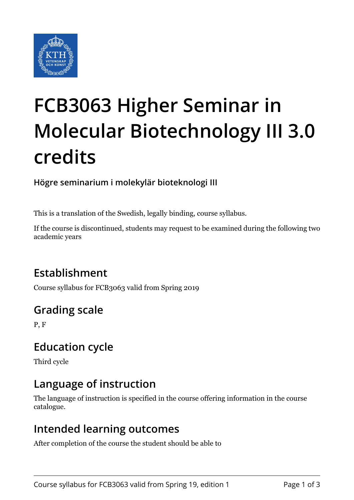

# **FCB3063 Higher Seminar in Molecular Biotechnology III 3.0 credits**

**Högre seminarium i molekylär bioteknologi III**

This is a translation of the Swedish, legally binding, course syllabus.

If the course is discontinued, students may request to be examined during the following two academic years

# **Establishment**

Course syllabus for FCB3063 valid from Spring 2019

# **Grading scale**

P, F

## **Education cycle**

Third cycle

## **Language of instruction**

The language of instruction is specified in the course offering information in the course catalogue.

## **Intended learning outcomes**

After completion of the course the student should be able to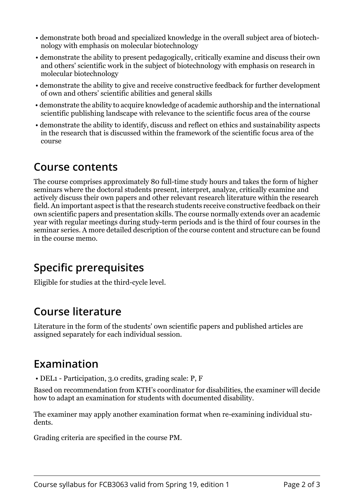- demonstrate both broad and specialized knowledge in the overall subject area of biotechnology with emphasis on molecular biotechnology
- demonstrate the ability to present pedagogically, critically examine and discuss their own and others' scientific work in the subject of biotechnology with emphasis on research in molecular biotechnology
- demonstrate the ability to give and receive constructive feedback for further development of own and others' scientific abilities and general skills
- demonstrate the ability to acquire knowledge of academic authorship and the international scientific publishing landscape with relevance to the scientific focus area of the course
- demonstrate the ability to identify, discuss and reflect on ethics and sustainability aspects in the research that is discussed within the framework of the scientific focus area of the course

#### **Course contents**

The course comprises approximately 80 full-time study hours and takes the form of higher seminars where the doctoral students present, interpret, analyze, critically examine and actively discuss their own papers and other relevant research literature within the research field. An important aspect is that the research students receive constructive feedback on their own scientific papers and presentation skills. The course normally extends over an academic year with regular meetings during study-term periods and is the third of four courses in the seminar series. A more detailed description of the course content and structure can be found in the course memo.

# **Specific prerequisites**

Eligible for studies at the third-cycle level.

## **Course literature**

Literature in the form of the students' own scientific papers and published articles are assigned separately for each individual session.

## **Examination**

• DEL1 - Participation, 3.0 credits, grading scale: P, F

Based on recommendation from KTH's coordinator for disabilities, the examiner will decide how to adapt an examination for students with documented disability.

The examiner may apply another examination format when re-examining individual students.

Grading criteria are specified in the course PM.